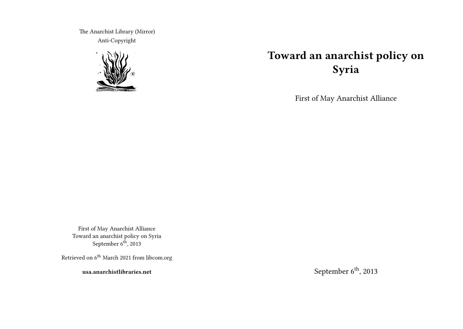The Anarchist Library (Mirror) Anti-Copyright



# **Toward an anarchist policy on Syria**

First of May Anarchist Alliance

First of May Anarchist Alliance Toward an anarchist policy on Syria September 6<sup>th</sup>, 2013

Retrieved on  $6^{\rm th}$  March 2021 from libcom.org

**usa.anarchistlibraries.net**

September  $6^{\text{th}}$ , 2013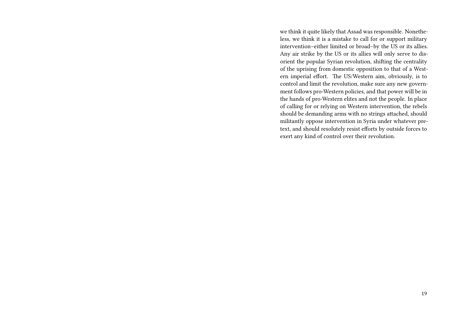we think it quite likely that Assad was responsible. Nonetheless, we think it is a mistake to call for or support military intervention–either limited or broad–by the US or its allies. Any air strike by the US or its allies will only serve to disorient the popular Syrian revolution, shifting the centrality of the uprising from domestic opposition to that of a Western imperial effort. The US/Western aim, obviously, is to control and limit the revolution, make sure any new government follows pro-Western policies, and that power will be in the hands of pro-Western elites and not the people. In place of calling for or relying on Western intervention, the rebels should be demanding arms with no strings attached, should militantly oppose intervention in Syria under whatever pretext, and should resolutely resist efforts by outside forces to exert any kind of control over their revolution.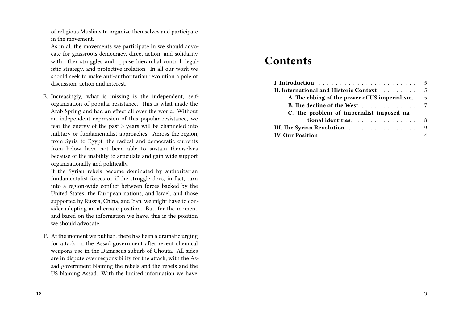of religious Muslims to organize themselves and participate in the movement.

As in all the movements we participate in we should advocate for grassroots democracy, direct action, and solidarity with other struggles and oppose hierarchal control, legalistic strategy, and protective isolation. In all our work we should seek to make anti-authoritarian revolution a pole of discussion, action and interest.

E. Increasingly, what is missing is the independent, selforganization of popular resistance. This is what made the Arab Spring and had an effect all over the world. Without an independent expression of this popular resistance, we fear the energy of the past 3 years will be channeled into military or fundamentalist approaches. Across the region, from Syria to Egypt, the radical and democratic currents from below have not been able to sustain themselves because of the inability to articulate and gain wide support organizationally and politically.

If the Syrian rebels become dominated by authoritarian fundamentalist forces or if the struggle does, in fact, turn into a region-wide conflict between forces backed by the United States, the European nations, and Israel, and those supported by Russia, China, and Iran, we might have to consider adopting an alternate position. But, for the moment, and based on the information we have, this is the position we should advocate.

F. At the moment we publish, there has been a dramatic urging for attack on the Assad government after recent chemical weapons use in the Damascus suburb of Ghouta. All sides are in dispute over responsibility for the attack, with the Assad government blaming the rebels and the rebels and the US blaming Assad. With the limited information we have,

## **Contents**

| II. International and Historic Context 5      |   |
|-----------------------------------------------|---|
| A. The ebbing of the power of US imperialism. | 5 |
| <b>B.</b> The decline of the West. 7          |   |
| C. The problem of imperialist imposed na-     |   |
| tional identities. 8                          |   |
| III. The Syrian Revolution 9                  |   |
|                                               |   |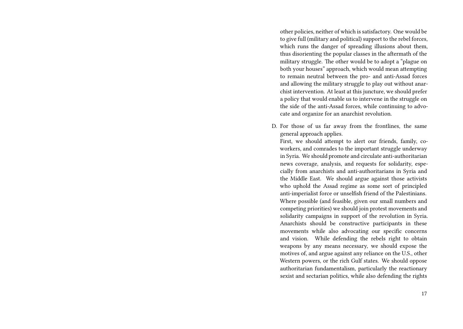other policies, neither of which is satisfactory. One would be to give full (military and political) support to the rebel forces, which runs the danger of spreading illusions about them, thus disorienting the popular classes in the aftermath of the military struggle. The other would be to adopt a "plague on both your houses" approach, which would mean attempting to remain neutral between the pro- and anti-Assad forces and allowing the military struggle to play out without anarchist intervention. At least at this juncture, we should prefer a policy that would enable us to intervene in the struggle on the side of the anti-Assad forces, while continuing to advocate and organize for an anarchist revolution.

D. For those of us far away from the frontlines, the same general approach applies.

First, we should attempt to alert our friends, family, coworkers, and comrades to the important struggle underway in Syria. We should promote and circulate anti-authoritarian news coverage, analysis, and requests for solidarity, especially from anarchists and anti-authoritarians in Syria and the Middle East. We should argue against those activists who uphold the Assad regime as some sort of principled anti-imperialist force or unselfish friend of the Palestinians. Where possible (and feasible, given our small numbers and competing priorities) we should join protest movements and solidarity campaigns in support of the revolution in Syria. Anarchists should be constructive participants in these movements while also advocating our specific concerns and vision. While defending the rebels right to obtain weapons by any means necessary, we should expose the motives of, and argue against any reliance on the U.S., other Western powers, or the rich Gulf states. We should oppose authoritarian fundamentalism, particularly the reactionary sexist and sectarian politics, while also defending the rights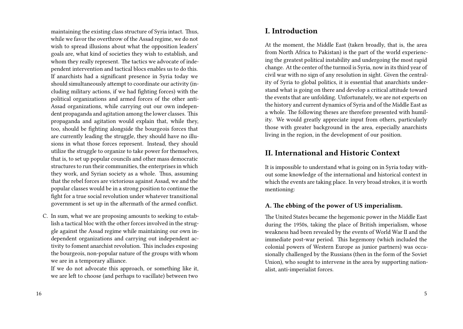maintaining the existing class structure of Syria intact. Thus, while we favor the overthrow of the Assad regime, we do not wish to spread illusions about what the opposition leaders' goals are, what kind of societies they wish to establish, and whom they really represent. The tactics we advocate of independent intervention and tactical blocs enables us to do this. If anarchists had a significant presence in Syria today we should simultaneously attempt to coordinate our activity (including military actions, if we had fighting forces) with the political organizations and armed forces of the other anti-Assad organizations, while carrying out our own independent propaganda and agitation among the lower classes. This propaganda and agitation would explain that, while they, too, should be fighting alongside the bourgeois forces that are currently leading the struggle, they should have no illusions in what those forces represent. Instead, they should utilize the struggle to organize to take power for themselves, that is, to set up popular councils and other mass democratic structures to run their communities, the enterprises in which they work, and Syrian society as a whole. Thus, assuming that the rebel forces are victorious against Assad, we and the popular classes would be in a strong position to continue the fight for a true social revolution under whatever transitional government is set up in the aftermath of the armed conflict.

C. In sum, what we are proposing amounts to seeking to establish a tactical bloc with the other forces involved in the struggle against the Assad regime while maintaining our own independent organizations and carrying out independent activity to foment anarchist revolution. This includes exposing the bourgeois, non-popular nature of the groups with whom we are in a temporary alliance.

If we do not advocate this approach, or something like it, we are left to choose (and perhaps to vacillate) between two

## **I. Introduction**

At the moment, the Middle East (taken broadly, that is, the area from North Africa to Pakistan) is the part of the world experiencing the greatest political instability and undergoing the most rapid change. At the center of the turmoil is Syria, now in its third year of civil war with no sign of any resolution in sight. Given the centrality of Syria to global politics, it is essential that anarchists understand what is going on there and develop a critical attitude toward the events that are unfolding. Unfortunately, we are not experts on the history and current dynamics of Syria and of the Middle East as a whole. The following theses are therefore presented with humility. We would greatly appreciate input from others, particularly those with greater background in the area, especially anarchists living in the region, in the development of our position.

## **II. International and Historic Context**

It is impossible to understand what is going on in Syria today without some knowledge of the international and historical context in which the events are taking place. In very broad strokes, it is worth mentioning:

#### **A. The ebbing of the power of US imperialism.**

The United States became the hegemonic power in the Middle East during the 1950s, taking the place of British imperialism, whose weakness had been revealed by the events of World War II and the immediate post-war period. This hegemony (which included the colonial powers of Western Europe as junior partners) was occasionally challenged by the Russians (then in the form of the Soviet Union), who sought to intervene in the area by supporting nationalist, anti-imperialist forces.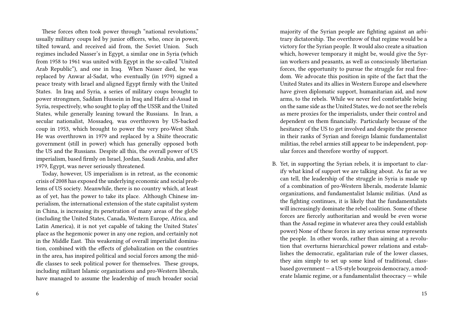These forces often took power through "national revolutions," usually military coups led by junior officers, who, once in power, tilted toward, and received aid from, the Soviet Union. Such regimes included Nasser's in Egypt, a similar one in Syria (which from 1958 to 1961 was united with Egypt in the so-called "United Arab Republic"), and one in Iraq. When Nasser died, he was replaced by Anwar al-Sadat, who eventually (in 1979) signed a peace treaty with Israel and aligned Egypt firmly with the United States. In Iraq and Syria, a series of military coups brought to power strongmen, Saddam Hussein in Iraq and Hafez al-Assad in Syria, respectively, who sought to play off the USSR and the United States, while generally leaning toward the Russians. In Iran, a secular nationalist, Mossadeq, was overthrown by US-backed coup in 1953, which brought to power the very pro-West Shah. He was overthrown in 1979 and replaced by a Shiite theocratic government (still in power) which has generally opposed both the US and the Russians. Despite all this, the overall power of US imperialism, based firmly on Israel, Jordan, Saudi Arabia, and after 1979, Egypt, was never seriously threatened.

Today, however, US imperialism is in retreat, as the economic crisis of 2008 has exposed the underlying economic and social problems of US society. Meanwhile, there is no country which, at least as of yet, has the power to take its place. Although Chinese imperialism, the international extension of the state capitalist system in China, is increasing its penetration of many areas of the globe (including the United States, Canada, Western Europe, Africa, and Latin America), it is not yet capable of taking the United States' place as the hegemonic power in any one region, and certainly not in the Middle East. This weakening of overall imperialist domination, combined with the effects of globalization on the countries in the area, has inspired political and social forces among the middle classes to seek political power for themselves. These groups, including militant Islamic organizations and pro-Western liberals, have managed to assume the leadership of much broader social majority of the Syrian people are fighting against an arbitrary dictatorship. The overthrow of that regime would be a victory for the Syrian people. It would also create a situation which, however temporary it might be, would give the Syrian workers and peasants, as well as consciously libertarian forces, the opportunity to pursue the struggle for real freedom. We advocate this position in spite of the fact that the United States and its allies in Western Europe and elsewhere have given diplomatic support, humanitarian aid, and now arms, to the rebels. While we never feel comfortable being on the same side as the United States, we do not see the rebels as mere proxies for the imperialists, under their control and dependent on them financially. Particularly because of the hesitancy of the US to get involved and despite the presence in their ranks of Syrian and foreign Islamic fundamentalist militias, the rebel armies still appear to be independent, popular forces and therefore worthy of support.

B. Yet, in supporting the Syrian rebels, it is important to clarify what kind of support we are talking about. As far as we can tell, the leadership of the struggle in Syria is made up of a combination of pro-Western liberals, moderate Islamic organizations, and fundamentalist Islamic militias. (And as the fighting continues, it is likely that the fundamentalists will increasingly dominate the rebel coalition. Some of these forces are fiercely authoritarian and would be even worse than the Assad regime in whatever area they could establish power) None of these forces in any serious sense represents the people. In other words, rather than aiming at a revolution that overturns hierarchical power relations and establishes the democratic, egalitarian rule of the lower classes, they aim simply to set up some kind of traditional, classbased government — a US-style bourgeois democracy, a moderate Islamic regime, or a fundamentalist theocracy — while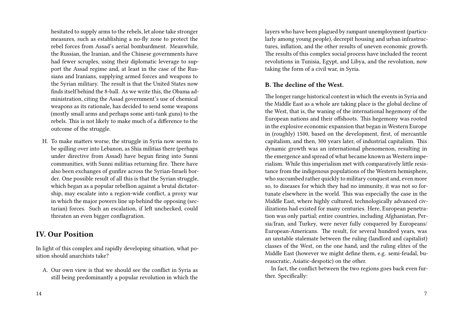hesitated to supply arms to the rebels, let alone take stronger measures, such as establishing a no-fly zone to protect the rebel forces from Assad's aerial bombardment. Meanwhile, the Russian, the Iranian, and the Chinese governments have had fewer scruples, using their diplomatic leverage to support the Assad regime and, at least in the case of the Russians and Iranians, supplying armed forces and weapons to the Syrian military. The result is that the United States now finds itself behind the 8-ball. As we write this, the Obama administration, citing the Assad government's use of chemical weapons as its rationale, has decided to send some weapons (mostly small arms and perhaps some anti-tank guns) to the rebels. This is not likely to make much of a difference to the outcome of the struggle.

H. To make matters worse, the struggle in Syria now seems to be spilling over into Lebanon, as Shia militias there (perhaps under directive from Assad) have begun firing into Sunni communities, with Sunni militias returning fire. There have also been exchanges of gunfire across the Syrian-Israeli border. One possible result of all this is that the Syrian struggle, which began as a popular rebellion against a brutal dictatorship, may escalate into a region-wide conflict, a proxy war in which the major powers line up behind the opposing (sectarian) forces. Such an escalation, if left unchecked, could threaten an even bigger conflagration.

## **IV. Our Position**

In light of this complex and rapidly developing situation, what position should anarchists take?

A. Our own view is that we should see the conflict in Syria as still being predominantly a popular revolution in which the layers who have been plagued by rampant unemployment (particularly among young people), decrepit housing and urban infrastructures, inflation, and the other results of uneven economic growth. The results of this complex social process have included the recent revolutions in Tunisia, Egypt, and Libya, and the revolution, now taking the form of a civil war, in Syria.

#### **B. The decline of the West.**

The longer range historical context in which the events in Syria and the Middle East as a whole are taking place is the global decline of the West, that is, the waning of the international hegemony of the European nations and their offshoots. This hegemony was rooted in the explosive economic expansion that began in Western Europe in (roughly) 1500, based on the development, first, of mercantile capitalism, and then, 300 years later, of industrial capitalism. This dynamic growth was an international phenomenon, resulting in the emergence and spread of what became known as Western imperialism. While this imperialism met with comparatively little resistance from the indigenous populations of the Western hemisphere, who succumbed rather quickly to military conquest and, even more so, to diseases for which they had no immunity, it was not so fortunate elsewhere in the world. This was especially the case in the Middle East, where highly cultured, technologically advanced civilizations had existed for many centuries. Here, European penetration was only partial; entire countries, including Afghanistan, Persia/Iran, and Turkey, were never fully conquered by Europeans/ European-Americans. The result, for several hundred years, was an unstable stalemate between the ruling (landlord and capitalist) classes of the West, on the one hand, and the ruling elites of the Middle East (however we might define them, e.g. semi-feudal, bureaucratic, Asiatic-despotic) on the other.

In fact, the conflict between the two regions goes back even further. Specifically: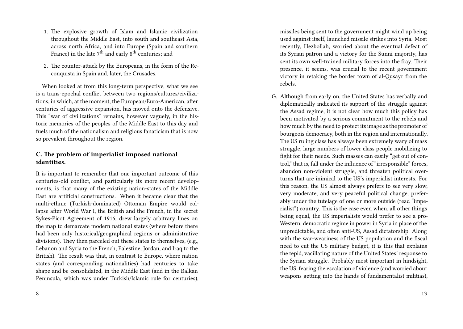- 1. The explosive growth of Islam and Islamic civilization throughout the Middle East, into south and southeast Asia, across north Africa, and into Europe (Spain and southern France) in the late  $7<sup>th</sup>$  and early  $8<sup>th</sup>$  centuries; and
- 2. The counter-attack by the Europeans, in the form of the Reconquista in Spain and, later, the Crusades.

When looked at from this long-term perspective, what we see is a trans-epochal conflict between two regions/cultures/civilizations, in which, at the moment, the European/Euro-American, after centuries of aggressive expansion, has moved onto the defensive. This "war of civilizations" remains, however vaguely, in the historic memories of the peoples of the Middle East to this day and fuels much of the nationalism and religious fanaticism that is now so prevalent throughout the region.

#### **C. The problem of imperialist imposed national identities.**

It is important to remember that one important outcome of this centuries-old conflict, and particularly its more recent developments, is that many of the existing nation-states of the Middle East are artificial constructions. When it became clear that the multi-ethnic (Turkish-dominated) Ottoman Empire would collapse after World War I, the British and the French, in the secret Sykes-Picot Agreement of 1916, drew largely arbitrary lines on the map to demarcate modern national states (where before there had been only historical/geographical regions or administrative divisions). They then parceled out these states to themselves, (e.g., Lebanon and Syria to the French; Palestine, Jordan, and Iraq to the British). The result was that, in contrast to Europe, where nation states (and corresponding nationalities) had centuries to take shape and be consolidated, in the Middle East (and in the Balkan Peninsula, which was under Turkish/Islamic rule for centuries), missiles being sent to the government might wind up being used against itself, launched missile strikes into Syria. Most recently, Hezbollah, worried about the eventual defeat of its Syrian patron and a victory for the Sunni majority, has sent its own well-trained military forces into the fray. Their presence, it seems, was crucial to the recent government victory in retaking the border town of al-Qusayr from the rebels.

G. Although from early on, the United States has verbally and diplomatically indicated its support of the struggle against the Assad regime, it is not clear how much this policy has been motivated by a serious commitment to the rebels and how much by the need to protect its image as the promoter of bourgeois democracy, both in the region and internationally. The US ruling class has always been extremely wary of mass struggle, large numbers of lower class people mobilizing to fight for their needs. Such masses can easily "get out of control," that is, fall under the influence of "irresponsible" forces, abandon non-violent struggle, and threaten political overturns that are inimical to the US's imperialist interests. For this reason, the US almost always prefers to see very slow, very moderate, and very peaceful political change, preferably under the tutelage of one or more outside (read "imperialist") country. This is the case even when, all other things being equal, the US imperialists would prefer to see a pro-Western, democratic regime in power in Syria in place of the unpredictable, and often anti-US, Assad dictatorship. Along with the war-weariness of the US population and the fiscal need to cut the US military budget, it is this that explains the tepid, vacillating nature of the United States' response to the Syrian struggle. Probably most important in hindsight, the US, fearing the escalation of violence (and worried about weapons getting into the hands of fundamentalist militias),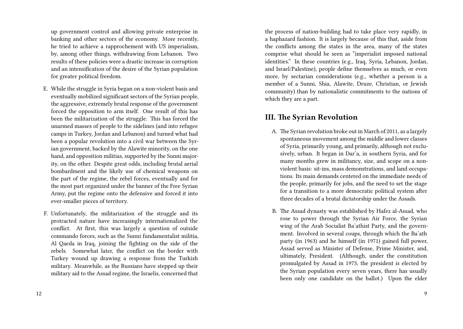up government control and allowing private enterprise in banking and other sectors of the economy. More recently, he tried to achieve a rapprochement with US imperialism, by, among other things, withdrawing from Lebanon. Two results of these policies were a drastic increase in corruption and an intensification of the desire of the Syrian population for greater political freedom.

- E. While the struggle in Syria began on a non-violent basis and eventually mobilized significant sectors of the Syrian people, the aggressive, extremely brutal response of the government forced the opposition to arm itself. One result of this has been the militarization of the struggle. This has forced the unarmed masses of people to the sidelines (and into refugee camps in Turkey, Jordan and Lebanon) and turned what had been a popular revolution into a civil war between the Syrian government, backed by the Alawite minority, on the one hand, and opposition militias, supported by the Sunni majority, on the other. Despite great odds, including brutal aerial bombardment and the likely use of chemical weapons on the part of the regime, the rebel forces, eventually and for the most part organized under the banner of the Free Syrian Army, put the regime onto the defensive and forced it into ever-smaller pieces of territory.
- F. Unfortunately, the militarization of the struggle and its protracted nature have increasingly internationalized the conflict. At first, this was largely a question of outside commando forces, such as the Sunni fundamentalist militia, Al Qaeda in Iraq, joining the fighting on the side of the rebels. Somewhat later, the conflict on the border with Turkey wound up drawing a response from the Turkish military. Meanwhile, as the Russians have stepped up their military aid to the Assad regime, the Israelis, concerned that

the process of nation-building had to take place very rapidly, in a haphazard fashion. It is largely because of this that, aside from the conflicts among the states in the area, many of the states comprise what should be seen as "imperialist imposed national identities." In these countries (e.g., Iraq, Syria, Lebanon, Jordan, and Israel/Palestine), people define themselves as much, or even more, by sectarian considerations (e.g., whether a person is a member of a Sunni, Shia, Alawite, Druze, Christian, or Jewish community) than by nationalistic commitments to the nations of which they are a part.

## **III. The Syrian Revolution**

- A. The Syrian revolution broke out in March of 2011, as a largely spontaneous movement among the middle and lower classes of Syria, primarily young, and primarily, although not exclusively, urban. It began in Dar'a, in southern Syria, and for many months grew in militancy, size, and scope on a nonviolent basis: sit-ins, mass demonstrations, and land occupations. Its main demands centered on the immediate needs of the people, primarily for jobs, and the need to set the stage for a transition to a more democratic political system after three decades of a brutal dictatorship under the Assads.
- B. The Assad dynasty was established by Hafez al-Assad, who rose to power through the Syrian Air Force, the Syrian wing of the Arab Socialist Ba'athist Party, and the government. Involved in several coups, through which the Ba'ath party (in 1963) and he himself (in 1971) gained full power, Assad served as Minister of Defense, Prime Minister, and, ultimately, President. (Although, under the constitution promulgated by Assad in 1973, the president is elected by the Syrian population every seven years, there has usually been only one candidate on the ballot.) Upon the elder